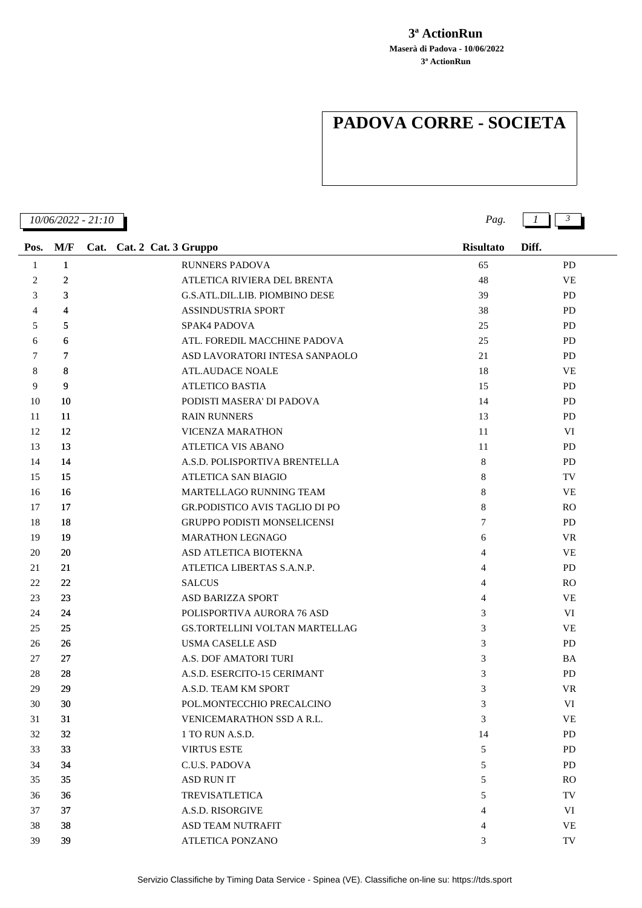## **3ª ActionRun Maserà di Padova - 10/06/2022 3ª ActionRun**

## **PADOVA CORRE - SOCIETA**

| 10/06/2022 - 21:10 |              |                                       | Pag.             | $1 \parallel 3$ |  |  |
|--------------------|--------------|---------------------------------------|------------------|-----------------|--|--|
| Pos.               | M/F          | Cat. Cat. 2 Cat. 3 Gruppo             | <b>Risultato</b> | Diff.           |  |  |
| $\mathbf{1}$       | $\mathbf{1}$ | <b>RUNNERS PADOVA</b>                 | 65               | <b>PD</b>       |  |  |
| 2                  | $\mathbf{2}$ | ATLETICA RIVIERA DEL BRENTA           | 48               | <b>VE</b>       |  |  |
| 3                  | 3            | G.S.ATL.DIL.LIB. PIOMBINO DESE        | 39               | <b>PD</b>       |  |  |
| $\overline{4}$     | 4            | <b>ASSINDUSTRIA SPORT</b>             | 38               | <b>PD</b>       |  |  |
| 5                  | 5            | SPAK4 PADOVA                          | 25               | <b>PD</b>       |  |  |
| 6                  | 6            | ATL. FOREDIL MACCHINE PADOVA          | 25               | <b>PD</b>       |  |  |
| 7                  | 7            | ASD LAVORATORI INTESA SANPAOLO        | 21               | PD              |  |  |
| 8                  | 8            | <b>ATL.AUDACE NOALE</b>               | 18               | VE              |  |  |
| 9                  | 9            | <b>ATLETICO BASTIA</b>                | 15               | <b>PD</b>       |  |  |
| 10                 | 10           | PODISTI MASERA' DI PADOVA             | 14               | <b>PD</b>       |  |  |
| 11                 | 11           | <b>RAIN RUNNERS</b>                   | 13               | <b>PD</b>       |  |  |
| 12                 | 12           | <b>VICENZA MARATHON</b>               | 11               | VI              |  |  |
| 13                 | 13           | <b>ATLETICA VIS ABANO</b>             | 11               | PD              |  |  |
| 14                 | 14           | A.S.D. POLISPORTIVA BRENTELLA         | 8                | <b>PD</b>       |  |  |
| 15                 | 15           | <b>ATLETICA SAN BIAGIO</b>            | 8                | TV              |  |  |
| 16                 | 16           | MARTELLAGO RUNNING TEAM               | 8                | VE              |  |  |
| 17                 | 17           | <b>GR.PODISTICO AVIS TAGLIO DI PO</b> | 8                | <b>RO</b>       |  |  |
| 18                 | 18           | GRUPPO PODISTI MONSELICENSI           | 7                | PD              |  |  |
| 19                 | 19           | <b>MARATHON LEGNAGO</b>               | 6                | VR.             |  |  |
| 20                 | 20           | ASD ATLETICA BIOTEKNA                 | 4                | <b>VE</b>       |  |  |
| 21                 | 21           | ATLETICA LIBERTAS S.A.N.P.            | 4                | PD              |  |  |
| 22                 | 22           | <b>SALCUS</b>                         | 4                | R <sub>O</sub>  |  |  |
| 23                 | 23           | <b>ASD BARIZZA SPORT</b>              | 4                | <b>VE</b>       |  |  |
| 24                 | 24           | POLISPORTIVA AURORA 76 ASD            | 3                | VI              |  |  |
| 25                 | 25           | GS.TORTELLINI VOLTAN MARTELLAG        | 3                | VE              |  |  |
| 26                 | 26           | <b>USMA CASELLE ASD</b>               | 3                | PD              |  |  |
| 27                 | 27           | A.S. DOF AMATORI TURI                 | 3                | BA              |  |  |
| 28                 | 28           | A.S.D. ESERCITO-15 CERIMANT           | 3                | <b>PD</b>       |  |  |
| 29                 | 29           | A.S.D. TEAM KM SPORT                  | 3                | <b>VR</b>       |  |  |
| 30                 | 30           | POL.MONTECCHIO PRECALCINO             | 3                | VI              |  |  |
| 31                 | 31           | VENICEMARATHON SSD A R.L.             | 3                | <b>VE</b>       |  |  |
| 32                 | 32           | 1 TO RUN A.S.D.                       | 14               | <b>PD</b>       |  |  |
| 33                 | 33           | <b>VIRTUS ESTE</b>                    | 5                | PD              |  |  |
| 34                 | 34           | C.U.S. PADOVA                         | 5                | <b>PD</b>       |  |  |
| 35                 | 35           | <b>ASD RUN IT</b>                     | 5                | <sub>RO</sub>   |  |  |
| 36                 | 36           | <b>TREVISATLETICA</b>                 | 5                | TV              |  |  |
| 37                 | 37           | A.S.D. RISORGIVE                      | 4                | VI              |  |  |
| 38                 | 38           | ASD TEAM NUTRAFIT                     | 4                | <b>VE</b>       |  |  |
| 39                 | 39           | ATLETICA PONZANO                      | 3                | TV              |  |  |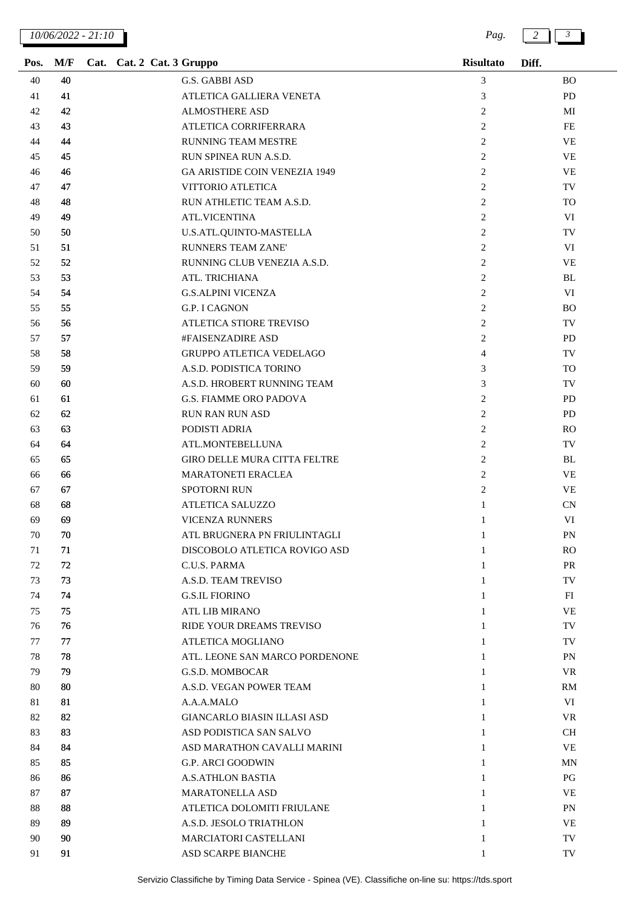| Pos. | M/F | Cat. Cat. 2 Cat. 3 Gruppo |                                      | <b>Risultato</b> | Diff.     |
|------|-----|---------------------------|--------------------------------------|------------------|-----------|
| 40   | 40  |                           | G.S. GABBI ASD                       | 3                | <b>BO</b> |
| 41   | 41  |                           | ATLETICA GALLIERA VENETA             | 3                | <b>PD</b> |
| 42   | 42  |                           | <b>ALMOSTHERE ASD</b>                | 2                | МI        |
| 43   | 43  |                           | ATLETICA CORRIFERRARA                | 2                | FE        |
| 44   | 44  |                           | <b>RUNNING TEAM MESTRE</b>           | 2                | <b>VE</b> |
| 45   | 45  |                           | RUN SPINEA RUN A.S.D.                | $\overline{c}$   | <b>VE</b> |
| 46   | 46  |                           | <b>GA ARISTIDE COIN VENEZIA 1949</b> | $\overline{c}$   | <b>VE</b> |
| 47   | 47  |                           | VITTORIO ATLETICA                    | 2                | TV        |
| 48   | 48  |                           | RUN ATHLETIC TEAM A.S.D.             | 2                | <b>TO</b> |
| 49   | 49  |                           | <b>ATL.VICENTINA</b>                 | 2                | VI        |
| 50   | 50  |                           | U.S.ATL.QUINTO-MASTELLA              | 2                | TV        |
| 51   | 51  |                           | <b>RUNNERS TEAM ZANE'</b>            | $\overline{c}$   | VI        |
| 52   | 52  |                           | RUNNING CLUB VENEZIA A.S.D.          | $\overline{2}$   | <b>VE</b> |
| 53   | 53  |                           | ATL. TRICHIANA                       | 2                | BL        |
| 54   | 54  |                           | <b>G.S.ALPINI VICENZA</b>            | 2                | VI        |
| 55   | 55  |                           | <b>G.P. I CAGNON</b>                 | 2                | <b>BO</b> |
| 56   | 56  |                           | ATLETICA STIORE TREVISO              | 2                | TV        |
| 57   | 57  |                           | #FAISENZADIRE ASD                    | 2                | <b>PD</b> |
| 58   | 58  |                           | <b>GRUPPO ATLETICA VEDELAGO</b>      | $\overline{4}$   | TV        |
| 59   | 59  |                           | A.S.D. PODISTICA TORINO              | 3                | TO        |
| 60   | 60  |                           | A.S.D. HROBERT RUNNING TEAM          | 3                | TV        |
| 61   | 61  |                           | <b>G.S. FIAMME ORO PADOVA</b>        | 2                | <b>PD</b> |
| 62   | 62  |                           | <b>RUN RAN RUN ASD</b>               | 2                | PD        |
| 63   | 63  |                           | PODISTI ADRIA                        | 2                | <b>RO</b> |
| 64   | 64  |                           | ATL.MONTEBELLUNA                     | 2                | TV        |
| 65   | 65  |                           | GIRO DELLE MURA CITTA FELTRE         | 2                | BL        |
| 66   | 66  |                           | MARATONETI ERACLEA                   | 2                | <b>VE</b> |
| 67   | 67  |                           | <b>SPOTORNI RUN</b>                  | $\overline{c}$   | VE        |
| 68   | 68  |                           | <b>ATLETICA SALUZZO</b>              | $\mathbf{1}$     | CN        |
| 69   | 69  |                           | VICENZA RUNNERS                      | 1                | VI        |
| 70   | 70  |                           | ATL BRUGNERA PN FRIULINTAGLI         | 1                | PN        |
| 71   | 71  |                           | DISCOBOLO ATLETICA ROVIGO ASD        | 1                | <b>RO</b> |
| 72   | 72  |                           | C.U.S. PARMA                         | 1                | <b>PR</b> |
| 73   | 73  |                           | A.S.D. TEAM TREVISO                  | 1                | TV        |
| 74   | 74  |                           | <b>G.S.IL FIORINO</b>                | 1                | FI        |
| 75   | 75  |                           | <b>ATL LIB MIRANO</b>                | 1                | <b>VE</b> |
| 76   | 76  |                           | RIDE YOUR DREAMS TREVISO             | 1                | TV        |
| 77   | 77  |                           | ATLETICA MOGLIANO                    | $\mathbf{1}$     | TV        |
| 78   | 78  |                           | ATL. LEONE SAN MARCO PORDENONE       | 1                | PN        |
| 79   | 79  |                           | <b>G.S.D. MOMBOCAR</b>               | 1                | <b>VR</b> |
| 80   | 80  |                           | A.S.D. VEGAN POWER TEAM              | 1                | RM        |
| 81   | 81  |                           | A.A.A.MALO                           | 1                | VI        |
| 82   | 82  |                           | <b>GIANCARLO BIASIN ILLASI ASD</b>   | 1                | VR        |
| 83   | 83  |                           | ASD PODISTICA SAN SALVO              | $\mathbf{1}$     | <b>CH</b> |
| 84   | 84  |                           | ASD MARATHON CAVALLI MARINI          | 1                | <b>VE</b> |
| 85   | 85  |                           | <b>G.P. ARCI GOODWIN</b>             | 1                | MN        |
| 86   | 86  |                           | <b>A.S.ATHLON BASTIA</b>             | 1                | PG        |
| 87   | 87  |                           | <b>MARATONELLA ASD</b>               | 1                | <b>VE</b> |
| 88   | 88  |                           | ATLETICA DOLOMITI FRIULANE           | 1                | <b>PN</b> |
| 89   | 89  |                           | A.S.D. JESOLO TRIATHLON              | $\mathbf{1}$     | VE        |
| 90   | 90  |                           | <b>MARCIATORI CASTELLANI</b>         | 1                | TV        |
| 91   | 91  |                           | ASD SCARPE BIANCHE                   | 1                | TV        |
|      |     |                           |                                      |                  |           |